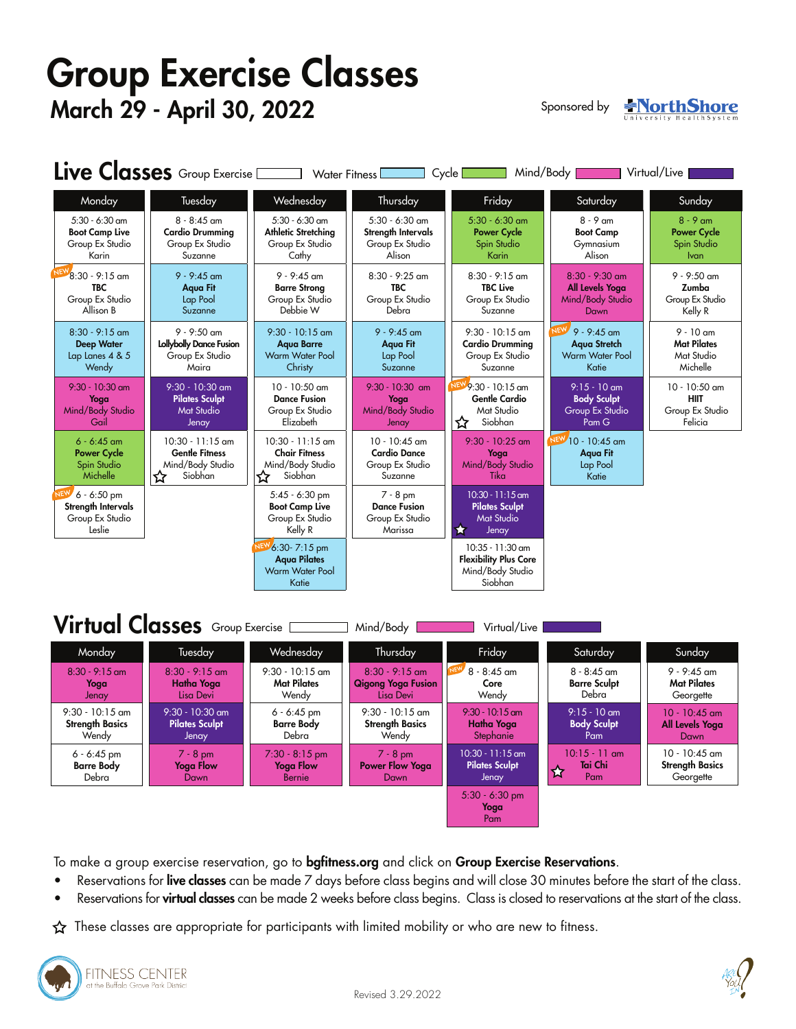# Group Exercise Classes March 29 - April 30, 2022

Sponsored by

**NorthShore** 

| Live Classes Group Exercise <u>Communications</u> Water Fitness<br>Mind/Body<br>Virtual/Live<br>Cycle |                                                                                 |                                                                                |                                                                      |                                                                                       |                                                                                |                                                                |  |  |  |  |
|-------------------------------------------------------------------------------------------------------|---------------------------------------------------------------------------------|--------------------------------------------------------------------------------|----------------------------------------------------------------------|---------------------------------------------------------------------------------------|--------------------------------------------------------------------------------|----------------------------------------------------------------|--|--|--|--|
| Monday                                                                                                | Tuesday                                                                         | Wednesday                                                                      | Thursday                                                             | Friday                                                                                | Saturday                                                                       | Sunday                                                         |  |  |  |  |
| $5:30 - 6:30$ am<br><b>Boot Camp Live</b><br>Group Ex Studio<br>Karin                                 | $8 - 8:45$ am<br><b>Cardio Drumming</b><br>Group Ex Studio<br>Suzanne           | $5:30 - 6:30$ am<br><b>Athletic Stretching</b><br>Group Ex Studio<br>Cathy     | $5:30 - 6:30$ am<br>Strength Intervals<br>Group Ex Studio<br>Alison  | $5:30 - 6:30$ am<br><b>Power Cycle</b><br>Spin Studio<br><b>Karin</b>                 | $8 - 9$ am<br><b>Boot Camp</b><br>Gymnasium<br>Alison                          | $8 - 9$ am<br><b>Power Cycle</b><br>Spin Studio<br><b>Ivan</b> |  |  |  |  |
| $8:30 - 9:15$ am<br><b>TBC</b><br>Group Ex Studio<br>Allison B                                        | $9 - 9:45$ am<br><b>Aqua Fit</b><br>Lap Pool<br>Suzanne                         | $9 - 9:45$ am<br><b>Barre Strong</b><br>Group Ex Studio<br>Debbie W            | $8:30 - 9:25$ am<br><b>TBC</b><br>Group Ex Studio<br>Debra           | $8:30 - 9:15$ am<br><b>TBC Live</b><br>Group Ex Studio<br>Suzanne                     | $8:30 - 9:30$ am<br>All Levels Yoga<br>Mind/Body Studio<br>Dawn                | $9 - 9:50$ am<br>Zumba<br>Group Ex Studio<br>Kelly R           |  |  |  |  |
| $8:30 - 9:15$ am<br><b>Deep Water</b><br>Lap Lanes 4 & 5<br>Wendy                                     | $9 - 9:50$ am<br>Lollybolly Dance Fusion<br>Group Ex Studio<br>Maira            | $9:30 - 10:15$ am<br><b>Agua Barre</b><br><b>Warm Water Pool</b><br>Christy    | $9 - 9:45$ am<br><b>Aqua Fit</b><br>Lap Pool<br>Suzanne              | $9:30 - 10:15$ am<br><b>Cardio Drumming</b><br>Group Ex Studio<br>Suzanne             | NE)<br>$9 - 9:45$ am<br><b>Agua Stretch</b><br><b>Warm Water Pool</b><br>Katie | $9 - 10$ am<br><b>Mat Pilates</b><br>Mat Studio<br>Michelle    |  |  |  |  |
| $9:30 - 10:30$ am<br>Yoga<br>Mind/Body Studio<br>Gail                                                 | $9:30 - 10:30$ am<br><b>Pilates Sculpt</b><br><b>Mat Studio</b><br>Jenay        | $10 - 10:50$ am<br><b>Dance Fusion</b><br>Group Ex Studio<br>Elizabeth         | $9:30 - 10:30$ am<br>Yoga<br>Mind/Body Studio<br>Jenay               | <b>NEV</b><br>$9.30 - 10.15$ am<br><b>Gentle Cardio</b><br>Mat Studio<br>Siobhan<br>☆ | $9:15 - 10$ am<br><b>Body Sculpt</b><br>Group Ex Studio<br>Pam G               | 10 - 10:50 am<br><b>HIIT</b><br>Group Ex Studio<br>Felicia     |  |  |  |  |
| $6 - 6:45$ am<br><b>Power Cycle</b><br>Spin Studio<br>Michelle                                        | $10:30 - 11:15$ am<br><b>Gentle Fitness</b><br>Mind/Body Studio<br>Siobhan<br>☆ | $10:30 - 11:15$ am<br><b>Chair Fitness</b><br>Mind/Body Studio<br>Siobhan<br>☆ | $10 - 10:45$ am<br><b>Cardio Dance</b><br>Group Ex Studio<br>Suzanne | $9:30 - 10:25$ am<br>Yoga<br>Mind/Body Studio<br>Tika                                 | $N$ <sup>EW</sup> 10 - 10:45 am<br><b>Agua Fit</b><br>Lap Pool<br>Katie        |                                                                |  |  |  |  |
| <b>NEW</b><br>$6 - 6:50$ pm<br>Strength Intervals<br>Group Ex Studio<br>Leslie                        |                                                                                 | $5:45 - 6:30$ pm<br><b>Boot Camp Live</b><br>Group Ex Studio<br>Kelly R        | $7 - 8$ pm<br><b>Dance Fusion</b><br>Group Ex Studio<br>Marissa      | $10:30 - 11:15$ am<br><b>Pilates Sculpt</b><br><b>Mat Studio</b><br>✿<br>Jenay        |                                                                                |                                                                |  |  |  |  |
|                                                                                                       |                                                                                 | $6:30 - 7:15$ pm<br><b>Agua Pilates</b><br><b>Warm Water Pool</b><br>Katie     |                                                                      | 10:35 - 11:30 am<br><b>Flexibility Plus Core</b><br>Mind/Body Studio<br>Siobhan       |                                                                                |                                                                |  |  |  |  |

# $Virtual Classes$  Group Exercise  $\Box$  Mind/Body  $\Box$  Virtual/Live

| Monday                                               | Tuesday                                             | Wednesday                                        | Thursday                                                   | Friday                                               | Saturday                                      | Sunday                                                 |
|------------------------------------------------------|-----------------------------------------------------|--------------------------------------------------|------------------------------------------------------------|------------------------------------------------------|-----------------------------------------------|--------------------------------------------------------|
| $8:30 - 9:15$ am<br>Yoga<br>Jenay                    | $8:30 - 9:15$ am<br>Hatha Yoga<br>Lisa Devi         | $9:30 - 10:15$ am<br><b>Mat Pilates</b><br>Wendy | $8:30 - 9:15$ am<br><b>Qigong Yoga Fusion</b><br>Lisa Devi | $8 - 8:45$ am<br>Core<br>Wendy                       | $8 - 8:45$ am<br><b>Barre Sculpt</b><br>Debra | $9 - 9:45$ am<br><b>Mat Pilates</b><br>Georgette       |
| $9:30 - 10:15$ am<br><b>Strength Basics</b><br>Wendy | $9:30 - 10:30$ am<br><b>Pilates Sculpt</b><br>Jenay | $6 - 6:45$ pm<br><b>Barre Body</b><br>Debra      | $9:30 - 10:15$ am<br><b>Strength Basics</b><br>Wendy       | $9:30 - 10:15$ am<br>Hatha Yoga<br>Stephanie         | $9:15 - 10$ am<br><b>Body Sculpt</b><br>Pam   | $10 - 10:45$ am<br>All Levels Yoga<br>Dawn             |
| $6 - 6:45$ pm<br><b>Barre Body</b><br>Debra          | $7 - 8$ pm<br>Yoga Flow<br>Dawn                     | $7:30 - 8:15$ pm<br><b>Yoga Flow</b><br>Bernie   | $7 - 8$ pm<br><b>Power Flow Yoga</b><br>Dawn               | $10:30 - 11:15$ am<br><b>Pilates Sculpt</b><br>Jenay | $10:15 - 11$ am<br>Tai Chi<br>☆<br>Pam        | $10 - 10:45$ am<br><b>Strength Basics</b><br>Georgette |
|                                                      |                                                     |                                                  |                                                            | $5:30 - 6:30$ pm<br>Yoga<br>Pam                      |                                               |                                                        |

To make a group exercise reservation, go to bgfitness.org and click on Group Exercise Reservations.

- Reservations for live classes can be made 7 days before class begins and will close 30 minutes before the start of the class.
- Reservations for virtual classes can be made 2 weeks before class begins. Class is closed to reservations at the start of the class.

 $\hat{\varphi}$  These classes are appropriate for participants with limited mobility or who are new to fitness.